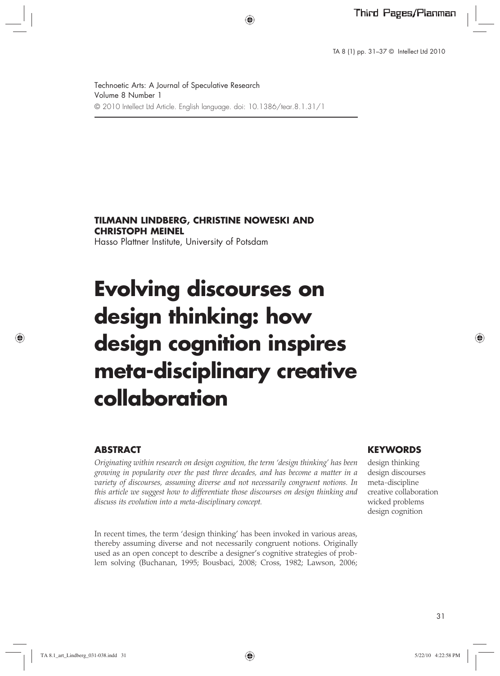Technoetic Arts: A Journal of Speculative Research Volume 8 Number 1 © 2010 Intellect Ltd Article. English language. doi: 10.1386/tear.8.1.31/1

# **TILMANN LINDBERG, CHRISTINE NOWESKI AND CHRISTOPH MEINEL**

Hasso Plattner Institute, University of Potsdam

# **Evolving discourses on design thinking: how design cognition inspires meta-disciplinary creative collaboration**

# **ABSTRACT**

*Originating within research on design cognition, the term 'design thinking' has been growing in popularity over the past three decades, and has become a matter in a variety of discourses, assuming diverse and not necessarily congruent notions. In this article we suggest how to differentiate those discourses on design thinking and discuss its evolution into a meta-disciplinary concept.*

In recent times, the term 'design thinking' has been invoked in various areas, thereby assuming diverse and not necessarily congruent notions. Originally used as an open concept to describe a designer's cognitive strategies of problem solving (Buchanan, 1995; Bousbaci, 2008; Cross, 1982; Lawson, 2006;

# **KEYWORDS**

design thinking design discourses meta-discipline creative collaboration wicked problems design cognition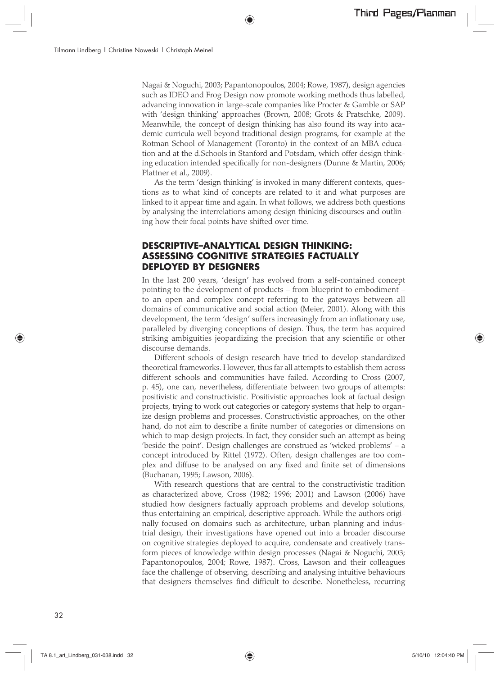Nagai & Noguchi, 2003; Papantonopoulos, 2004; Rowe, 1987), design agencies such as IDEO and Frog Design now promote working methods thus labelled, advancing innovation in large-scale companies like Procter & Gamble or SAP with 'design thinking' approaches (Brown, 2008; Grots & Pratschke, 2009). Meanwhile, the concept of design thinking has also found its way into academic curricula well beyond traditional design programs, for example at the Rotman School of Management (Toronto) in the context of an MBA education and at the d.Schools in Stanford and Potsdam, which offer design thinking education intended specifically for non-designers (Dunne & Martin, 2006; Plattner et al., 2009).

As the term 'design thinking' is invoked in many different contexts, questions as to what kind of concepts are related to it and what purposes are linked to it appear time and again. In what follows, we address both questions by analysing the interrelations among design thinking discourses and outlining how their focal points have shifted over time.

#### **DESCRIPTIVE–ANALYTICAL DESIGN THINKING: ASSESSING COGNITIVE STRATEGIES FACTUALLY DEPLOYED BY DESIGNERS**

In the last 200 years, 'design' has evolved from a self-contained concept pointing to the development of products – from blueprint to embodiment – to an open and complex concept referring to the gateways between all domains of communicative and social action (Meier, 2001). Along with this development, the term 'design' suffers increasingly from an inflationary use, paralleled by diverging conceptions of design. Thus, the term has acquired striking ambiguities jeopardizing the precision that any scientific or other discourse demands.

Different schools of design research have tried to develop standardized theoretical frameworks. However, thus far all attempts to establish them across different schools and communities have failed. According to Cross (2007, p. 45), one can, nevertheless, differentiate between two groups of attempts: positivistic and constructivistic. Positivistic approaches look at factual design projects, trying to work out categories or category systems that help to organize design problems and processes. Constructivistic approaches, on the other hand, do not aim to describe a finite number of categories or dimensions on which to map design projects. In fact, they consider such an attempt as being 'beside the point'. Design challenges are construed as 'wicked problems' – a concept introduced by Rittel (1972). Often, design challenges are too complex and diffuse to be analysed on any fixed and finite set of dimensions (Buchanan, 1995; Lawson, 2006).

With research questions that are central to the constructivistic tradition as characterized above, Cross (1982; 1996; 2001) and Lawson (2006) have studied how designers factually approach problems and develop solutions, thus entertaining an empirical, descriptive approach. While the authors originally focused on domains such as architecture, urban planning and industrial design, their investigations have opened out into a broader discourse on cognitive strategies deployed to acquire, condensate and creatively transform pieces of knowledge within design processes (Nagai & Noguchi, 2003; Papantonopoulos, 2004; Rowe, 1987). Cross, Lawson and their colleagues face the challenge of observing, describing and analysing intuitive behaviours that designers themselves find difficult to describe. Nonetheless, recurring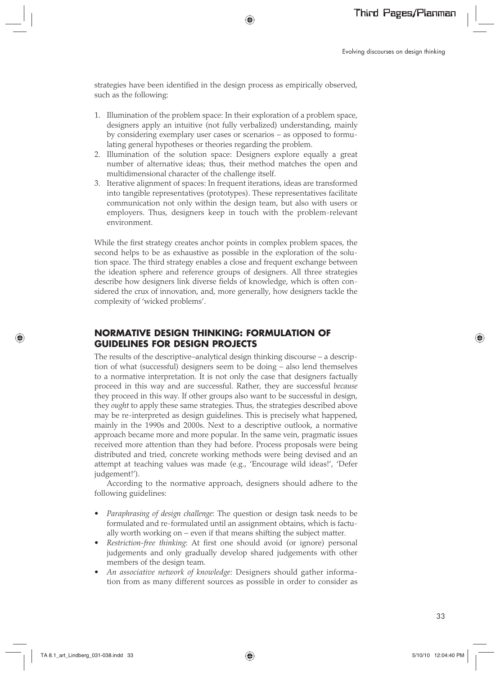strategies have been identified in the design process as empirically observed, such as the following:

- 1. Illumination of the problem space: In their exploration of a problem space, designers apply an intuitive (not fully verbalized) understanding, mainly by considering exemplary user cases or scenarios – as opposed to formulating general hypotheses or theories regarding the problem.
- 2. Illumination of the solution space: Designers explore equally a great number of alternative ideas; thus, their method matches the open and multidimensional character of the challenge itself.
- 3. Iterative alignment of spaces: In frequent iterations, ideas are transformed into tangible representatives (prototypes). These representatives facilitate communication not only within the design team, but also with users or employers. Thus, designers keep in touch with the problem-relevant environment.

While the first strategy creates anchor points in complex problem spaces, the second helps to be as exhaustive as possible in the exploration of the solution space. The third strategy enables a close and frequent exchange between the ideation sphere and reference groups of designers. All three strategies describe how designers link diverse fields of knowledge, which is often considered the crux of innovation, and, more generally, how designers tackle the complexity of 'wicked problems'.

#### **NORMATIVE DESIGN THINKING: FORMULATION OF GUIDELINES FOR DESIGN PROJECTS**

The results of the descriptive–analytical design thinking discourse – a description of what (successful) designers seem to be doing – also lend themselves to a normative interpretation. It is not only the case that designers factually proceed in this way and are successful. Rather, they are successful *because* they proceed in this way. If other groups also want to be successful in design, they *ought* to apply these same strategies. Thus, the strategies described above may be re-interpreted as design guidelines. This is precisely what happened, mainly in the 1990s and 2000s. Next to a descriptive outlook, a normative approach became more and more popular. In the same vein, pragmatic issues received more attention than they had before. Process proposals were being distributed and tried, concrete working methods were being devised and an attempt at teaching values was made (e.g., 'Encourage wild ideas!', 'Defer judgement!').

According to the normative approach, designers should adhere to the following guidelines:

- Paraphrasing of design challenge: The question or design task needs to be formulated and re-formulated until an assignment obtains, which is factually worth working on – even if that means shifting the subject matter.
- *Restriction-free thinking*: At first one should avoid (or ignore) personal judgements and only gradually develop shared judgements with other members of the design team.
- An associative network of knowledge: Designers should gather information from as many different sources as possible in order to consider as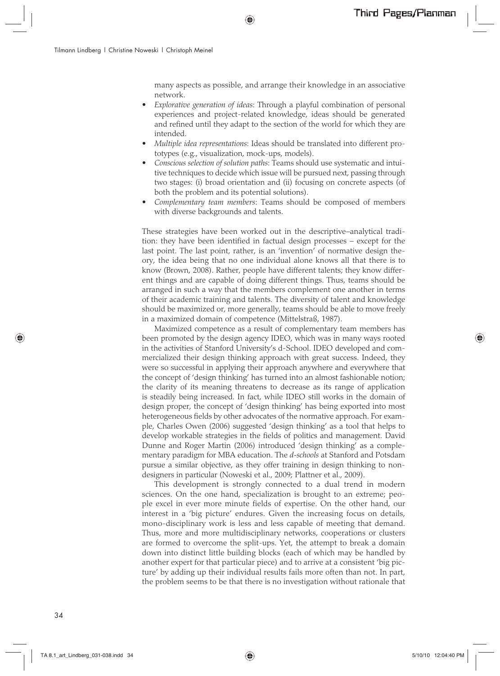many aspects as possible, and arrange their knowledge in an associative network.

- Explorative generation of ideas: Through a playful combination of personal experiences and project-related knowledge, ideas should be generated and refined until they adapt to the section of the world for which they are intended.
- *Multiple idea representations: Ideas should be translated into different pro*totypes (e.g., visualization, mock-ups, models).
- *Conscious selection of solution paths*: Teams should use systematic and intuitive techniques to decide which issue will be pursued next, passing through two stages: (i) broad orientation and (ii) focusing on concrete aspects (of both the problem and its potential solutions).
- Complementary team members: Teams should be composed of members with diverse backgrounds and talents.

These strategies have been worked out in the descriptive–analytical tradition: they have been identified in factual design processes – except for the last point. The last point, rather, is an 'invention' of normative design theory, the idea being that no one individual alone knows all that there is to know (Brown, 2008). Rather, people have different talents; they know different things and are capable of doing different things. Thus, teams should be arranged in such a way that the members complement one another in terms of their academic training and talents. The diversity of talent and knowledge should be maximized or, more generally, teams should be able to move freely in a maximized domain of competence (Mittelstraß, 1987).

Maximized competence as a result of complementary team members has been promoted by the design agency IDEO, which was in many ways rooted in the activities of Stanford University's d-School. IDEO developed and commercialized their design thinking approach with great success. Indeed, they were so successful in applying their approach anywhere and everywhere that the concept of 'design thinking' has turned into an almost fashionable notion; the clarity of its meaning threatens to decrease as its range of application is steadily being increased. In fact, while IDEO still works in the domain of design proper, the concept of 'design thinking' has being exported into most heterogeneous fields by other advocates of the normative approach. For example, Charles Owen (2006) suggested 'design thinking' as a tool that helps to develop workable strategies in the fields of politics and management. David Dunne and Roger Martin (2006) introduced 'design thinking' as a complementary paradigm for MBA education. The *d-schools* at Stanford and Potsdam pursue a similar objective, as they offer training in design thinking to nondesigners in particular (Noweski et al., 2009; Plattner et al., 2009).

This development is strongly connected to a dual trend in modern sciences. On the one hand, specialization is brought to an extreme; people excel in ever more minute fields of expertise. On the other hand, our interest in a 'big picture' endures. Given the increasing focus on details, mono-disciplinary work is less and less capable of meeting that demand. Thus, more and more multidisciplinary networks, cooperations or clusters are formed to overcome the split-ups. Yet, the attempt to break a domain down into distinct little building blocks (each of which may be handled by another expert for that particular piece) and to arrive at a consistent 'big picture' by adding up their individual results fails more often than not. In part, the problem seems to be that there is no investigation without rationale that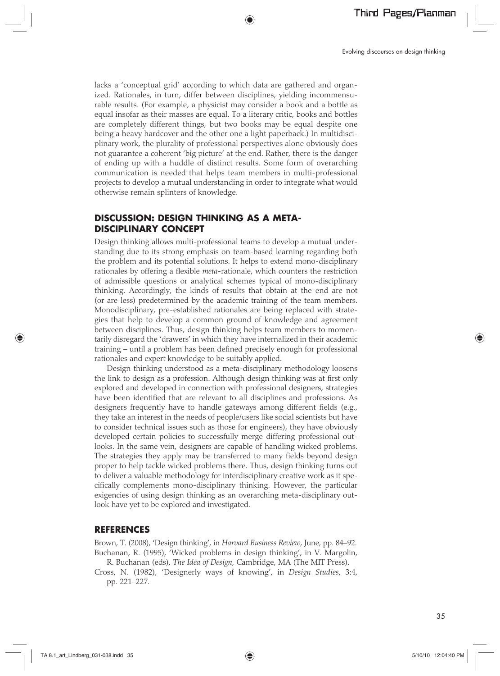lacks a 'conceptual grid' according to which data are gathered and organized. Rationales, in turn, differ between disciplines, yielding incommensurable results. (For example, a physicist may consider a book and a bottle as equal insofar as their masses are equal. To a literary critic, books and bottles are completely different things, but two books may be equal despite one being a heavy hardcover and the other one a light paperback.) In multidisciplinary work, the plurality of professional perspectives alone obviously does not guarantee a coherent 'big picture' at the end. Rather, there is the danger of ending up with a huddle of distinct results. Some form of overarching communication is needed that helps team members in multi-professional projects to develop a mutual understanding in order to integrate what would otherwise remain splinters of knowledge.

#### **DISCUSSION: DESIGN THINKING AS A META-DISCIPLINARY CONCEPT**

Design thinking allows multi-professional teams to develop a mutual understanding due to its strong emphasis on team-based learning regarding both the problem and its potential solutions. It helps to extend mono-disciplinary rationales by offering a flexible *meta*-rationale, which counters the restriction of admissible questions or analytical schemes typical of mono-disciplinary thinking. Accordingly, the kinds of results that obtain at the end are not (or are less) predetermined by the academic training of the team members. Monodisciplinary, pre-established rationales are being replaced with strategies that help to develop a common ground of knowledge and agreement between disciplines. Thus, design thinking helps team members to momentarily disregard the 'drawers' in which they have internalized in their academic training – until a problem has been defined precisely enough for professional rationales and expert knowledge to be suitably applied.

Design thinking understood as a meta-disciplinary methodology loosens the link to design as a profession. Although design thinking was at first only explored and developed in connection with professional designers, strategies have been identified that are relevant to all disciplines and professions. As designers frequently have to handle gateways among different fields (e.g., they take an interest in the needs of people/users like social scientists but have to consider technical issues such as those for engineers), they have obviously developed certain policies to successfully merge differing professional outlooks. In the same vein, designers are capable of handling wicked problems. The strategies they apply may be transferred to many fields beyond design proper to help tackle wicked problems there. Thus, design thinking turns out to deliver a valuable methodology for interdisciplinary creative work as it specifically complements mono-disciplinary thinking. However, the particular exigencies of using design thinking as an overarching meta-disciplinary outlook have yet to be explored and investigated.

#### **REFERENCES**

Brown, T. (2008), 'Design thinking', in *Harvard Business Review*, June, pp. 84–92. Buchanan, R. (1995), 'Wicked problems in design thinking', in V. Margolin, R. Buchanan (eds), *The Idea of Design*, Cambridge, MA (The MIT Press).

Cross, N. (1982), 'Designerly ways of knowing', in *Design Studies*, 3:4, pp. 221–227.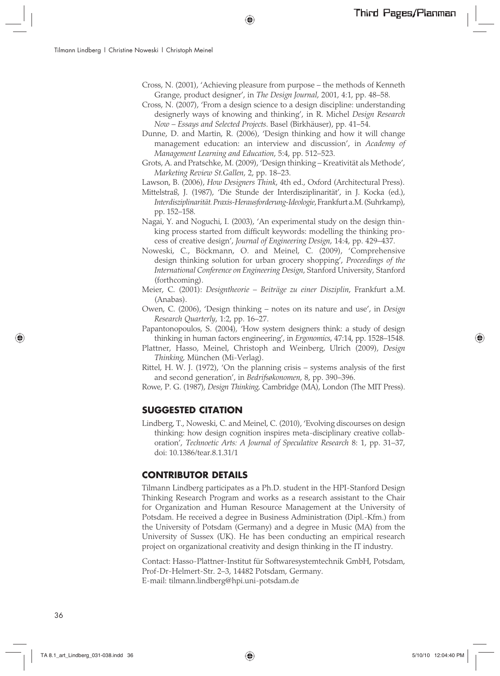- Cross, N. (2001), 'Achieving pleasure from purpose the methods of Kenneth Grange, product designer', in *The Design Journal*, 2001, 4:1, pp. 48–58.
- Cross, N. (2007), 'From a design science to a design discipline: understanding designerly ways of knowing and thinking', in R. Michel *Design Research Now – Essays and Selected Projects*. Basel (Birkhäuser), pp. 41–54.
- Dunne, D. and Martin, R. (2006), 'Design thinking and how it will change management education: an interview and discussion', in *Academy of Management Learning and Education*, 5:4, pp. 512–523.
- Grots, A. and Pratschke, M. (2009), 'Design thinking Kreativität als Methode', *Marketing Review St.Gallen*, 2, pp. 18–23.
- Lawson, B. (2006), *How Designers Think*, 4th ed., Oxford (Architectural Press).
- Mittelstraß, J. (1987), 'Die Stunde der Interdisziplinarität', in J. Kocka (ed.), *Interdisziplinarität. Praxis-Herausforderung-Ideologie*, Frankfurt a.M. (Suhrkamp), pp. 152–158.
- Nagai, Y. and Noguchi, I. (2003), 'An experimental study on the design thinking process started from difficult keywords: modelling the thinking process of creative design', *Journal of Engineering Design*, 14:4, pp. 429–437.
- Noweski, C., Böckmann, O. and Meinel, C. (2009), 'Comprehensive design thinking solution for urban grocery shopping', *Proceedings of the International Conference on Engineering Design*, Stanford University, Stanford (forthcoming).
- Meier, C. (2001): *Designtheorie Beiträge zu einer Disziplin*, Frankfurt a.M. (Anabas).
- Owen, C. (2006), 'Design thinking notes on its nature and use', in *Design Research Quarterly*, 1:2, pp. 16–27.
- Papantonopoulos, S. (2004), 'How system designers think: a study of design thinking in human factors engineering', in *Ergonomics*, 47:14, pp. 1528–1548.
- Plattner, Hasso, Meinel, Christoph and Weinberg, Ulrich (2009), *Design Thinking*, München (Mi-Verlag).
- Rittel, H. W. J. (1972), 'On the planning crisis systems analysis of the first and second generation', in *Bedrifsøkonomen*, 8, pp. 390–396.
- Rowe, P. G. (1987), *Design Thinking*, Cambridge (MA), London (The MIT Press).

#### **SUGGESTED CITATION**

Lindberg, T., Noweski, C. and Meinel, C. (2010), 'Evolving discourses on design thinking: how design cognition inspires meta-disciplinary creative collaboration', *Technoetic Arts: A Journal of Speculative Research* 8: 1, pp. 31–37, doi: 10.1386/tear.8.1.31/1

#### **CONTRIBUTOR DETAILS**

Tilmann Lindberg participates as a Ph.D. student in the HPI-Stanford Design Thinking Research Program and works as a research assistant to the Chair for Organization and Human Resource Management at the University of Potsdam. He received a degree in Business Administration (Dipl.-Kfm.) from the University of Potsdam (Germany) and a degree in Music (MA) from the University of Sussex (UK). He has been conducting an empirical research project on organizational creativity and design thinking in the IT industry.

Contact: Hasso-Plattner-Institut für Softwaresystemtechnik GmbH, Potsdam, Prof-Dr-Helmert-Str. 2–3, 14482 Potsdam, Germany. E-mail: tilmann.lindberg@hpi.uni-potsdam.de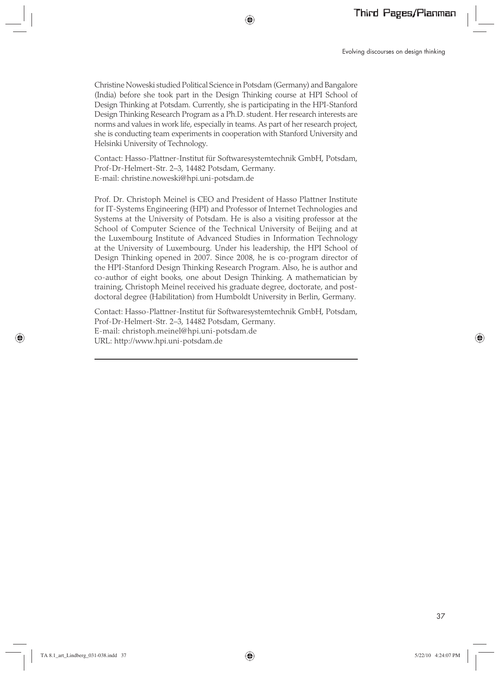Christine Noweski studied Political Science in Potsdam (Germany) and Bangalore (India) before she took part in the Design Thinking course at HPI School of Design Thinking at Potsdam. Currently, she is participating in the HPI-Stanford Design Thinking Research Program as a Ph.D. student. Her research interests are norms and values in work life, especially in teams. As part of her research project, she is conducting team experiments in cooperation with Stanford University and Helsinki University of Technology.

Contact: Hasso-Plattner-Institut für Softwaresystemtechnik GmbH, Potsdam, Prof-Dr-Helmert-Str. 2–3, 14482 Potsdam, Germany. E-mail: christine.noweski@hpi.uni-potsdam.de

Prof. Dr. Christoph Meinel is CEO and President of Hasso Plattner Institute for IT-Systems Engineering (HPI) and Professor of Internet Technologies and Systems at the University of Potsdam. He is also a visiting professor at the School of Computer Science of the Technical University of Beijing and at the Luxembourg Institute of Advanced Studies in Information Technology at the University of Luxembourg. Under his leadership, the HPI School of Design Thinking opened in 2007. Since 2008, he is co-program director of the HPI-Stanford Design Thinking Research Program. Also, he is author and co-author of eight books, one about Design Thinking. A mathematician by training, Christoph Meinel received his graduate degree, doctorate, and postdoctoral degree (Habilitation) from Humboldt University in Berlin, Germany.

Contact: Hasso-Plattner-Institut für Softwaresystemtechnik GmbH, Potsdam, Prof-Dr-Helmert-Str. 2–3, 14482 Potsdam, Germany. E-mail: christoph.meinel@hpi.uni-potsdam.de URL: http://www.hpi.uni-potsdam.de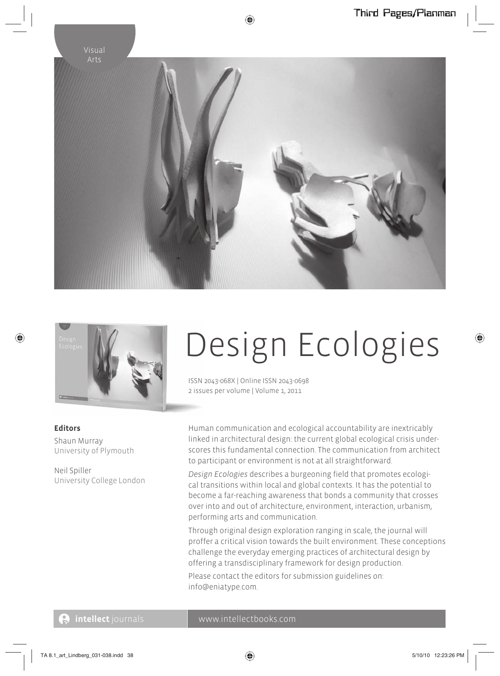



**Editors** Shaun Murray University of Plymouth

Neil Spiller University College London

# Design Ecologies

ISSN 2043-068X | Online ISSN 2043-0698 2 issues per volume | Volume 1, 2011

Human communication and ecological accountability are inextricably linked in architectural design: the current global ecological crisis underscores this fundamental connection. The communication from architect to participant or environment is not at all straightforward.

Design Ecologies describes a burgeoning field that promotes ecological transitions within local and global contexts. It has the potential to become a far-reaching awareness that bonds a community that crosses over into and out of architecture, environment, interaction, urbanism, performing arts and communication.

Through original design exploration ranging in scale, the journal will proffer a critical vision towards the built environment. These conceptions challenge the everyday emerging practices of architectural design by offering a transdisciplinary framework for design production.

Please contact the editors for submission guidelines on: info@eniatype.com.

# **afflue of the lack of the observer of the intellectbooks.com**